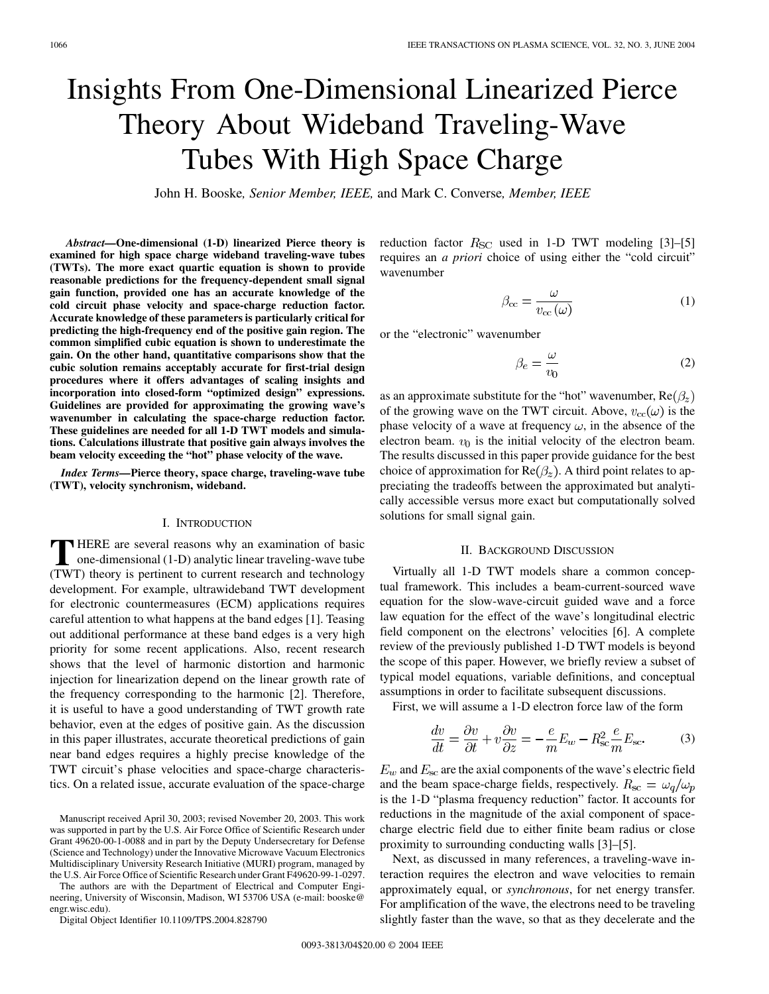# Insights From One-Dimensional Linearized Pierce Theory About Wideband Traveling-Wave Tubes With High Space Charge

John H. Booske*, Senior Member, IEEE,* and Mark C. Converse*, Member, IEEE*

*Abstract—***One-dimensional (1-D) linearized Pierce theory is examined for high space charge wideband traveling-wave tubes (TWTs). The more exact quartic equation is shown to provide reasonable predictions for the frequency-dependent small signal gain function, provided one has an accurate knowledge of the cold circuit phase velocity and space-charge reduction factor. Accurate knowledge of these parameters is particularly critical for predicting the high-frequency end of the positive gain region. The common simplified cubic equation is shown to underestimate the gain. On the other hand, quantitative comparisons show that the cubic solution remains acceptably accurate for first-trial design procedures where it offers advantages of scaling insights and incorporation into closed-form "optimized design" expressions. Guidelines are provided for approximating the growing wave's wavenumber in calculating the space-charge reduction factor. These guidelines are needed for all 1-D TWT models and simulations. Calculations illustrate that positive gain always involves the beam velocity exceeding the "hot" phase velocity of the wave.**

*Index Terms—***Pierce theory, space charge, traveling-wave tube (TWT), velocity synchronism, wideband.**

## I. INTRODUCTION

**T** HERE are several reasons why an examination of basic<br>one-dimensional (1-D) analytic linear traveling-wave tube<br>(TWT) theory is pertinent to sympat research and technology (TWT) theory is pertinent to current research and technology development. For example, ultrawideband TWT development for electronic countermeasures (ECM) applications requires careful attention to what happens at the band edges [[1\]](#page-5-0). Teasing out additional performance at these band edges is a very high priority for some recent applications. Also, recent research shows that the level of harmonic distortion and harmonic injection for linearization depend on the linear growth rate of the frequency corresponding to the harmonic [\[2\]](#page-5-0). Therefore, it is useful to have a good understanding of TWT growth rate behavior, even at the edges of positive gain. As the discussion in this paper illustrates, accurate theoretical predictions of gain near band edges requires a highly precise knowledge of the TWT circuit's phase velocities and space-charge characteristics. On a related issue, accurate evaluation of the space-charge

The authors are with the Department of Electrical and Computer Engineering, University of Wisconsin, Madison, WI 53706 USA (e-mail: booske@ engr.wisc.edu).

Digital Object Identifier 10.1109/TPS.2004.828790

reduction factor  $R_{SC}$  used in 1-D TWT modeling [[3\]](#page-5-0)–[\[5](#page-5-0)] requires an *a priori* choice of using either the "cold circuit" wavenumber

$$
\beta_{\rm cc} = \frac{\omega}{v_{\rm cc}(\omega)}\tag{1}
$$

or the "electronic" wavenumber

$$
\beta_e = \frac{\omega}{v_0} \tag{2}
$$

as an approximate substitute for the "hot" wavenumber,  $Re(\beta_z)$ of the growing wave on the TWT circuit. Above,  $v_{\text{cc}}(\omega)$  is the phase velocity of a wave at frequency  $\omega$ , in the absence of the electron beam.  $v_0$  is the initial velocity of the electron beam. The results discussed in this paper provide guidance for the best choice of approximation for  $\text{Re}(\beta_z)$ . A third point relates to appreciating the tradeoffs between the approximated but analytically accessible versus more exact but computationally solved solutions for small signal gain.

## II. BACKGROUND DISCUSSION

Virtually all 1-D TWT models share a common conceptual framework. This includes a beam-current-sourced wave equation for the slow-wave-circuit guided wave and a force law equation for the effect of the wave's longitudinal electric field component on the electrons' velocities [\[6](#page-6-0)]. A complete review of the previously published 1-D TWT models is beyond the scope of this paper. However, we briefly review a subset of typical model equations, variable definitions, and conceptual assumptions in order to facilitate subsequent discussions.

First, we will assume a 1-D electron force law of the form

$$
\frac{dv}{dt} = \frac{\partial v}{\partial t} + v \frac{\partial v}{\partial z} = -\frac{e}{m} E_w - R_{\rm sc}^2 \frac{e}{m} E_{\rm sc}.
$$
 (3)

 $E_w$  and  $E_{\rm sc}$  are the axial components of the wave's electric field and the beam space-charge fields, respectively.  $R_{\rm sc} = \omega_q/\omega_p$ is the 1-D "plasma frequency reduction" factor. It accounts for reductions in the magnitude of the axial component of spacecharge electric field due to either finite beam radius or close proximity to surrounding conducting walls [\[3](#page-5-0)]–[[5\]](#page-5-0).

Next, as discussed in many references, a traveling-wave interaction requires the electron and wave velocities to remain approximately equal, or *synchronous*, for net energy transfer. For amplification of the wave, the electrons need to be traveling slightly faster than the wave, so that as they decelerate and the

Manuscript received April 30, 2003; revised November 20, 2003. This work was supported in part by the U.S. Air Force Office of Scientific Research under Grant 49620-00-1-0088 and in part by the Deputy Undersecretary for Defense (Science and Technology) under the Innovative Microwave Vacuum Electronics Multidisciplinary University Research Initiative (MURI) program, managed by the U.S. Air Force Office of Scientific Research under Grant F49620-99-1-0297.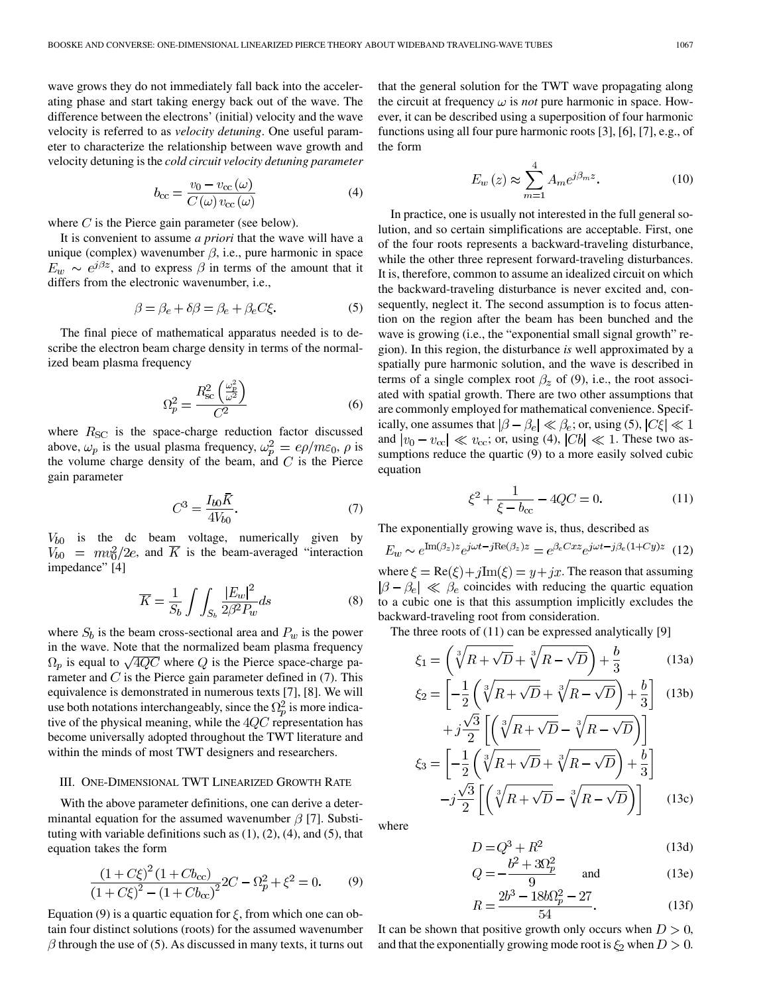wave grows they do not immediately fall back into the accelerating phase and start taking energy back out of the wave. The difference between the electrons' (initial) velocity and the wave velocity is referred to as *velocity detuning*. One useful parameter to characterize the relationship between wave growth and velocity detuning is the *cold circuit velocity detuning parameter*

$$
b_{\rm cc} = \frac{v_0 - v_{\rm cc}(\omega)}{C(\omega) v_{\rm cc}(\omega)}\tag{4}
$$

where  $C$  is the Pierce gain parameter (see below).

It is convenient to assume *a priori* that the wave will have a unique (complex) wavenumber  $\beta$ , i.e., pure harmonic in space  $E_w \sim e^{i\beta z}$ , and to express  $\beta$  in terms of the amount that it differs from the electronic wavenumber, i.e.,

$$
\beta = \beta_e + \delta\beta = \beta_e + \beta_e C \xi. \tag{5}
$$

The final piece of mathematical apparatus needed is to describe the electron beam charge density in terms of the normalized beam plasma frequency

$$
\Omega_p^2 = \frac{R_{\rm sc}^2 \left(\frac{\omega_p^2}{\omega^2}\right)}{C^2} \tag{6}
$$

where  $R_{SC}$  is the space-charge reduction factor discussed above,  $\omega_p$  is the usual plasma frequency,  $\omega_p^2 = e\rho/m\varepsilon_0$ ,  $\rho$  is the volume charge density of the beam, and  $C$  is the Pierce gain parameter

$$
C^3 = \frac{I_{b0}\bar{K}}{4V_{b0}}.\t(7)
$$

 $V_{b0}$  is the dc beam voltage, numerically given by  $V_{b0} = mv_0^2/2e$ , and  $\overline{K}$  is the beam-averaged "interaction impedance" [[4\]](#page-5-0)

$$
\overline{K} = \frac{1}{S_b} \int \int_{S_b} \frac{|E_w|^2}{2\beta^2 P_w} ds
$$
 (8)

where  $S_b$  is the beam cross-sectional area and  $P_w$  is the power in the wave. Note that the normalized beam plasma frequency  $\Omega_p$  is equal to  $\sqrt{4QC}$  where Q is the Pierce space-charge parameter and  $C$  is the Pierce gain parameter defined in (7). This equivalence is demonstrated in numerous texts [[7\]](#page-6-0), [\[8](#page-6-0)]. We will use both notations interchangeably, since the  $\Omega_p^2$  is more indicative of the physical meaning, while the  $4QC$  representation has become universally adopted throughout the TWT literature and within the minds of most TWT designers and researchers.

## III. ONE-DIMENSIONAL TWT LINEARIZED GROWTH RATE

With the above parameter definitions, one can derive a determinantal equation for the assumed wavenumber  $\beta$  [\[7](#page-6-0)]. Substituting with variable definitions such as  $(1)$ ,  $(2)$ ,  $(4)$ , and  $(5)$ , that equation takes the form

$$
\frac{(1+C\xi)^2 (1+Cb_{\rm cc})}{(1+C\xi)^2 - (1+Cb_{\rm cc})^2} 2C - \Omega_p^2 + \xi^2 = 0.
$$
 (9)

Equation (9) is a quartic equation for  $\xi$ , from which one can obtain four distinct solutions (roots) for the assumed wavenumber  $\beta$  through the use of (5). As discussed in many texts, it turns out that the general solution for the TWT wave propagating along the circuit at frequency  $\omega$  is *not* pure harmonic in space. However, it can be described using a superposition of four harmonic functions using all four pure harmonic roots [[3\]](#page-5-0), [[6\]](#page-6-0), [\[7](#page-6-0)], e.g., of the form

$$
E_w(z) \approx \sum_{m=1}^{4} A_m e^{j\beta_m z}.
$$
 (10)

In practice, one is usually not interested in the full general solution, and so certain simplifications are acceptable. First, one of the four roots represents a backward-traveling disturbance, while the other three represent forward-traveling disturbances. It is, therefore, common to assume an idealized circuit on which the backward-traveling disturbance is never excited and, consequently, neglect it. The second assumption is to focus attention on the region after the beam has been bunched and the wave is growing (i.e., the "exponential small signal growth" region). In this region, the disturbance *is* well approximated by a spatially pure harmonic solution, and the wave is described in terms of a single complex root  $\beta_z$  of (9), i.e., the root associated with spatial growth. There are two other assumptions that are commonly employed for mathematical convenience. Specifically, one assumes that  $|\beta - \beta_e| \ll \beta_e$ ; or, using (5),  $|C\xi| \ll 1$ and  $|v_0 - v_{\rm cc}| \ll v_{\rm cc}$ ; or, using (4),  $|Cb| \ll 1$ . These two assumptions reduce the quartic (9) to a more easily solved cubic equation

$$
\xi^2 + \frac{1}{\xi - b_{\rm cc}} - 4QC = 0.
$$
 (11)

The exponentially growing wave is, thus, described as

$$
E_w \sim e^{\text{Im}(\beta_z)z} e^{j\omega t - j\text{Re}(\beta_z)z} = e^{\beta_e Cxz} e^{j\omega t - j\beta_e (1 + Cy)z}
$$
(12)

where  $\xi = \text{Re}(\xi) + j\text{Im}(\xi) = y + jx$ . The reason that assuming  $|\beta - \beta_e| \ll \beta_e$  coincides with reducing the quartic equation to a cubic one is that this assumption implicitly excludes the backward-traveling root from consideration.

The three roots of (11) can be expressed analytically [\[9](#page-6-0)]

$$
\xi_1 = \left(\sqrt[3]{R + \sqrt{D}} + \sqrt[3]{R - \sqrt{D}}\right) + \frac{b}{3}
$$
\n(13a)

$$
\xi_2 = \left[ -\frac{1}{2} \left( \sqrt[3]{R} + \sqrt{D} + \sqrt[3]{R} - \sqrt{D} \right) + \frac{b}{3} \right] \quad (13b)
$$

$$
+ j \frac{\sqrt{3}}{2} \left[ \left( \sqrt[3]{R} + \sqrt{D} - \sqrt[3]{R} - \sqrt{D} \right) \right]
$$

$$
\xi_3 = \left[ -\frac{1}{2} \left( \sqrt[3]{R} + \sqrt{D} + \sqrt[3]{R} - \sqrt{D} \right) + \frac{b}{3} \right]
$$

$$
- j \frac{\sqrt{3}}{2} \left[ \left( \sqrt[3]{R} + \sqrt{D} - \sqrt[3]{R} - \sqrt{D} \right) \right] \quad (13c)
$$

where

$$
D = Q^3 + R^2
$$
 (13d)  

$$
b^2 + 3Q^2
$$

$$
Q = -\frac{b^2 + 3a^2p}{9} \quad \text{and} \quad (13e)
$$

$$
R = \frac{2b^3 - 18b\Omega_p^2 - 27}{54}.
$$
 (13f)

It can be shown that positive growth only occurs when  $D > 0$ , and that the exponentially growing mode root is  $\xi_2$  when  $D > 0$ .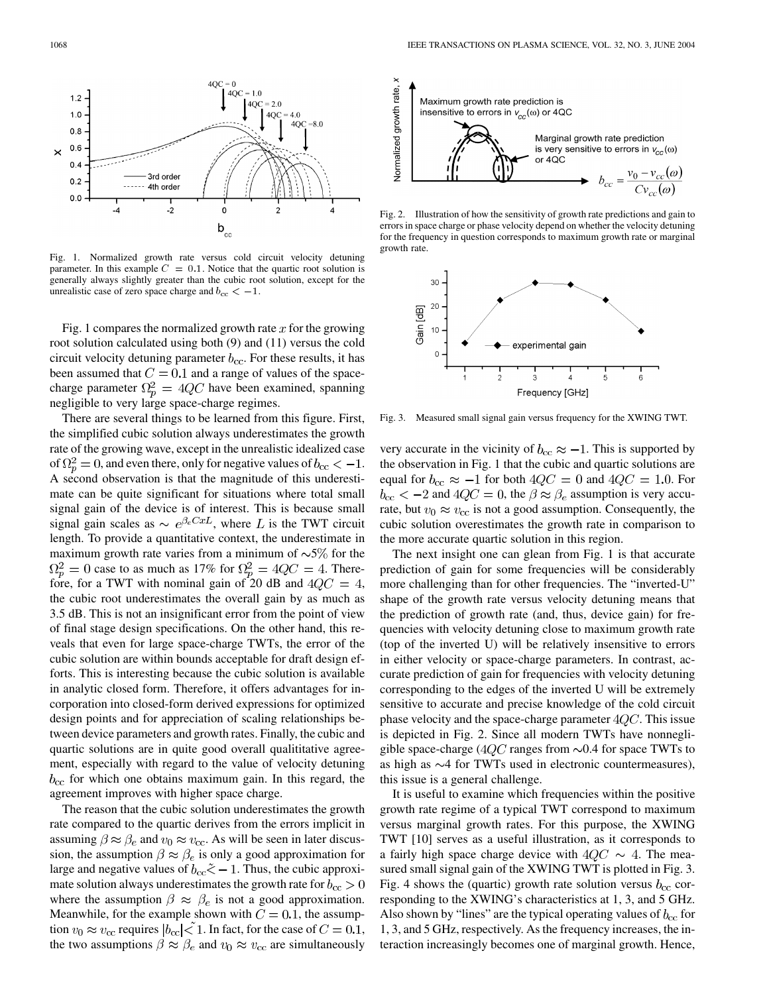

Fig. 1. Normalized growth rate versus cold circuit velocity detuning parameter. In this example  $C = 0.1$ . Notice that the quartic root solution is generally always slightly greater than the cubic root solution, except for the Fig. 1. Normalized growth rate versus cold c<br>parameter. In this example  $C = 0.1$ . Notice that the generally always slightly greater than the cubic rocunrealistic case of zero space charge and  $b_{cc} < -1$ .

Fig. 1 compares the normalized growth rate  $x$  for the growing root solution calculated using both (9) and (11) versus the cold circuit velocity detuning parameter  $b_{\rm cc}$ . For these results, it has been assumed that  $C = 0.1$  and a range of values of the spacecharge parameter  $\Omega_n^2 = 4QC$  have been examined, spanning negligible to very large space-charge regimes.

There are several things to be learned from this figure. First, the simplified cubic solution always underestimates the growth rate of the growing wave, except in the unrealistic idealized case of  $\Omega_n^2 = 0$ , and even there, only for negative values of  $b_{\rm cc} < -1$ . A second observation is that the magnitude of this underestimate can be quite significant for situations where total small signal gain of the device is of interest. This is because small signal gain scales as  $\sim e^{\beta_e C x L}$ , where L is the TWT circuit length. To provide a quantitative context, the underestimate in maximum growth rate varies from a minimum of  $\sim 5\%$  for the  $\Omega_p^2 = 0$  case to as much as 17% for  $\Omega_p^2 = 4QC = 4$ . Therefore, for a TWT with nominal gain of 20 dB and  $4QC = 4$ , the cubic root underestimates the overall gain by as much as 3.5 dB. This is not an insignificant error from the point of view of final stage design specifications. On the other hand, this reveals that even for large space-charge TWTs, the error of the cubic solution are within bounds acceptable for draft design efforts. This is interesting because the cubic solution is available in analytic closed form. Therefore, it offers advantages for incorporation into closed-form derived expressions for optimized design points and for appreciation of scaling relationships between device parameters and growth rates. Finally, the cubic and quartic solutions are in quite good overall qualititative agreement, especially with regard to the value of velocity detuning  $b_{\rm cc}$  for which one obtains maximum gain. In this regard, the agreement improves with higher space charge.

The reason that the cubic solution underestimates the growth rate compared to the quartic derives from the errors implicit in assuming  $\beta \approx \beta_e$  and  $v_0 \approx v_{\text{cc}}$ . As will be seen in later discussion, the assumption  $\beta \approx \beta_e$  is only a good approximation for large and negative values of  $b_{\rm cc} \tilde{\le} -1$ . Thus, the cubic approximate solution always underestimates the growth rate for  $b_{\rm cc} > 0$ where the assumption  $\beta \approx \beta_e$  is not a good approximation. Meanwhile, for the example shown with  $C = 0.1$ , the assumption  $v_0 \approx v_{\rm cc}$  requires  $|b_{\rm cc}| < 1$ . In fact, for the case of  $C = 0.1$ , the two assumptions  $\beta \approx \beta_e$  and  $v_0 \approx v_{cc}$  are simultaneously



Fig. 2. Illustration of how the sensitivity of growth rate predictions and gain to errors in space charge or phase velocity depend on whether the velocity detuning for the frequency in question corresponds to maximum growth rate or marginal growth rate.



Fig. 3. Measured small signal gain versus frequency for the XWING TWT.

very accurate in the vicinity of  $b_{\rm cc} \approx -1$ . This is supported by the observation in Fig. 1 that the cubic and quartic solutions are equal for  $b_{\rm cc} \approx -1$  for both  $4QC = 0$  and  $4QC = 1.0$ . For  $b_{\rm cc} < -2$  and  $4QC = 0$ , the  $\beta \approx \beta_e$  assumption is very accurate, but  $v_0 \approx v_{\rm cc}$  is not a good assumption. Consequently, the cubic solution overestimates the growth rate in comparison to the more accurate quartic solution in this region.

The next insight one can glean from Fig. 1 is that accurate prediction of gain for some frequencies will be considerably more challenging than for other frequencies. The "inverted-U" shape of the growth rate versus velocity detuning means that the prediction of growth rate (and, thus, device gain) for frequencies with velocity detuning close to maximum growth rate (top of the inverted U) will be relatively insensitive to errors in either velocity or space-charge parameters. In contrast, accurate prediction of gain for frequencies with velocity detuning corresponding to the edges of the inverted U will be extremely sensitive to accurate and precise knowledge of the cold circuit phase velocity and the space-charge parameter  $4QC$ . This issue is depicted in Fig. 2. Since all modern TWTs have nonnegligible space-charge ( $4QC$  ranges from  $\sim 0.4$  for space TWTs to as high as  $\sim$ 4 for TWTs used in electronic countermeasures), this issue is a general challenge.

It is useful to examine which frequencies within the positive growth rate regime of a typical TWT correspond to maximum versus marginal growth rates. For this purpose, the XWING TWT [\[10](#page-6-0)] serves as a useful illustration, as it corresponds to a fairly high space charge device with  $4QC \sim 4$ . The measured small signal gain of the XWING TWT is plotted in Fig. 3. Fig. 4 shows the (quartic) growth rate solution versus  $b_{\rm cc}$  corresponding to the XWING's characteristics at 1, 3, and 5 GHz. Also shown by "lines" are the typical operating values of  $b_{\rm cc}$  for 1, 3, and 5 GHz, respectively. As the frequency increases, the interaction increasingly becomes one of marginal growth. Hence,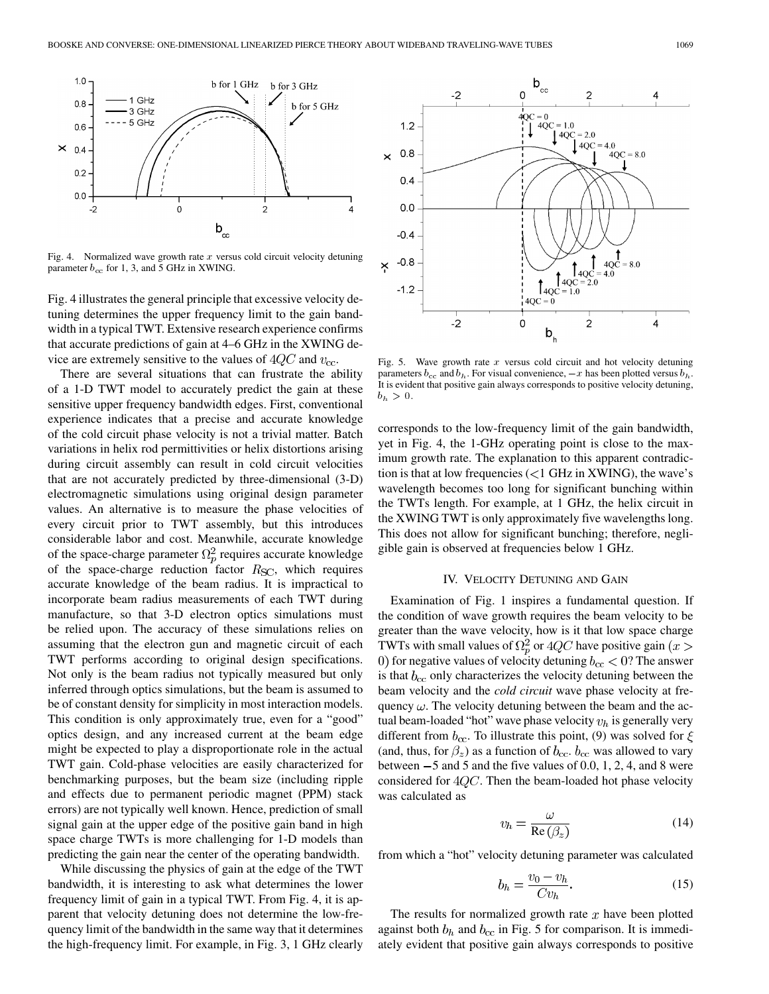

Fig. 4. Normalized wave growth rate  $x$  versus cold circuit velocity detuning parameter  $b_{\rm cc}$  for 1, 3, and 5 GHz in XWING.

Fig. 4 illustrates the general principle that excessive velocity detuning determines the upper frequency limit to the gain bandwidth in a typical TWT. Extensive research experience confirms that accurate predictions of gain at 4–6 GHz in the XWING device are extremely sensitive to the values of  $4QC$  and  $v_{\text{cc}}$ .

There are several situations that can frustrate the ability of a 1-D TWT model to accurately predict the gain at these sensitive upper frequency bandwidth edges. First, conventional experience indicates that a precise and accurate knowledge of the cold circuit phase velocity is not a trivial matter. Batch variations in helix rod permittivities or helix distortions arising during circuit assembly can result in cold circuit velocities that are not accurately predicted by three-dimensional (3-D) electromagnetic simulations using original design parameter values. An alternative is to measure the phase velocities of every circuit prior to TWT assembly, but this introduces considerable labor and cost. Meanwhile, accurate knowledge of the space-charge parameter  $\Omega_p^2$  requires accurate knowledge of the space-charge reduction factor  $R_{SC}$ , which requires accurate knowledge of the beam radius. It is impractical to incorporate beam radius measurements of each TWT during manufacture, so that 3-D electron optics simulations must be relied upon. The accuracy of these simulations relies on assuming that the electron gun and magnetic circuit of each TWT performs according to original design specifications. Not only is the beam radius not typically measured but only inferred through optics simulations, but the beam is assumed to be of constant density for simplicity in most interaction models. This condition is only approximately true, even for a "good" optics design, and any increased current at the beam edge might be expected to play a disproportionate role in the actual TWT gain. Cold-phase velocities are easily characterized for benchmarking purposes, but the beam size (including ripple and effects due to permanent periodic magnet (PPM) stack errors) are not typically well known. Hence, prediction of small signal gain at the upper edge of the positive gain band in high space charge TWTs is more challenging for 1-D models than predicting the gain near the center of the operating bandwidth.

While discussing the physics of gain at the edge of the TWT bandwidth, it is interesting to ask what determines the lower frequency limit of gain in a typical TWT. From Fig. 4, it is apparent that velocity detuning does not determine the low-frequency limit of the bandwidth in the same way that it determines the high-frequency limit. For example, in Fig. 3, 1 GHz clearly



Fig. 5. Wave growth rate x versus cold circuit and hot velocity detuning It is evident that positive gain always corresponds to positive velocity detuning,  $b_h > 0.$ 

corresponds to the low-frequency limit of the gain bandwidth, yet in Fig. 4, the 1-GHz operating point is close to the maximum growth rate. The explanation to this apparent contradiction is that at low frequencies  $\left($  < 1 GHz in XWING), the wave's wavelength becomes too long for significant bunching within the TWTs length. For example, at 1 GHz, the helix circuit in the XWING TWT is only approximately five wavelengths long. This does not allow for significant bunching; therefore, negligible gain is observed at frequencies below 1 GHz.

## IV. VELOCITY DETUNING AND GAIN

Examination of Fig. 1 inspires a fundamental question. If the condition of wave growth requires the beam velocity to be greater than the wave velocity, how is it that low space charge TWTs with small values of  $\Omega_p^2$  or  $4QC$  have positive gain  $(x > 0$ 0) for negative values of velocity detuning  $b_{\rm cc} < 0$ ? The answer is that  $b_{\rm cc}$  only characterizes the velocity detuning between the beam velocity and the *cold circuit* wave phase velocity at frequency  $\omega$ . The velocity detuning between the beam and the actual beam-loaded "hot" wave phase velocity  $v_h$  is generally very different from  $b_{\rm cc}$ . To illustrate this point, (9) was solved for  $\xi$ (and, thus, for  $\beta_z$ ) as a function of  $b_{\rm cc}$ .  $b_{\rm cc}$  was allowed to vary between  $-5$  and 5 and the five values of 0.0, 1, 2, 4, and 8 were considered for  $4QC$ . Then the beam-loaded hot phase velocity was calculated as

$$
v_h = \frac{\omega}{\text{Re}\left(\beta_z\right)}\tag{14}
$$

from which a "hot" velocity detuning parameter was calculated

$$
b_h = \frac{v_0 - v_h}{C v_h}.\tag{15}
$$

The results for normalized growth rate  $x$  have been plotted against both  $b_h$  and  $b_{cc}$  in Fig. 5 for comparison. It is immediately evident that positive gain always corresponds to positive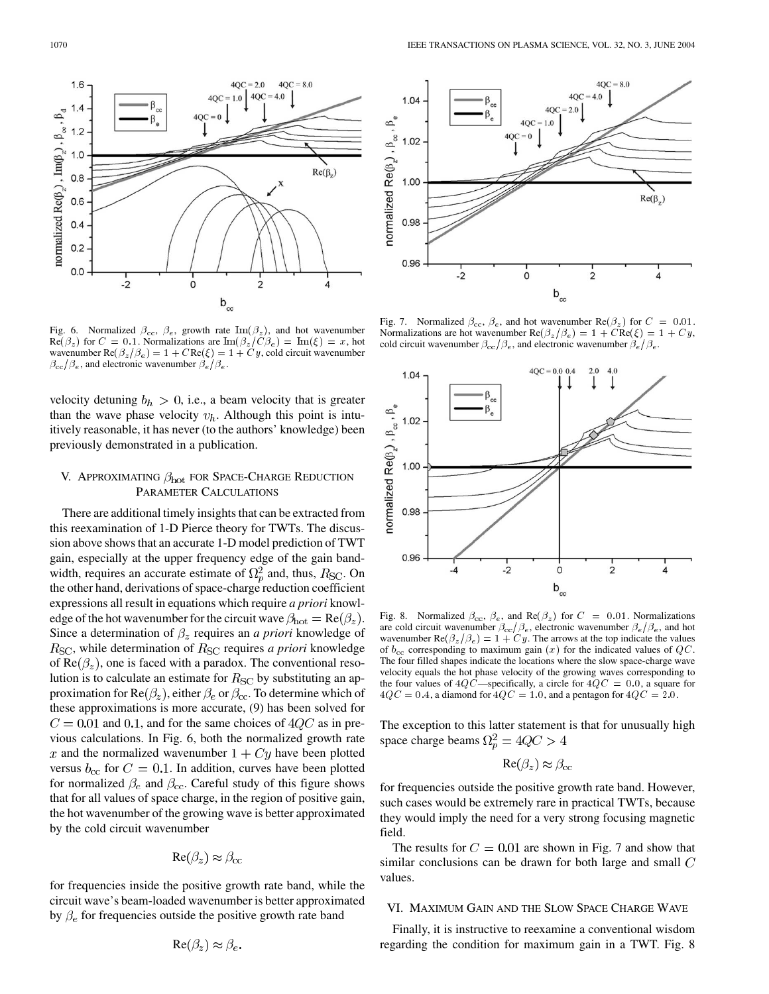Fig. 6. Normalized  $\beta_{\rm cc}$ ,  $\beta_{\rm e}$ , growth rate  $\text{Im}(\beta_z)$ , and hot wavenumber  $\text{Re}(\beta_z)$  for  $C = 0.1$ . Normalizations are  $\text{Im}(\beta_z / C \beta_e) = \text{Im}(\xi) = x$ , hot wavenumber  $\text{Re}(\beta_z/\beta_e) = 1 + C \text{Re}(\xi) = 1 + Cy$ , cold circuit wavenumber  $\beta_{\rm cc}/\beta_e$ , and electronic wavenumber  $\beta_e/\beta_e$ .

 $\mathsf{b}_{\scriptscriptstyle{\text{cc}}}$ 

 $\Omega$ 

 $4QC = 2.0$ 

4QC  $= 1.0$ 

4QC

 $4QC = 4.0$ 

っ

 $4QC = 8.0$ 

 $Re(\beta_2)$ 

velocity detuning  $b_h > 0$ , i.e., a beam velocity that is greater than the wave phase velocity  $v_h$ . Although this point is intuitively reasonable, it has never (to the authors' knowledge) been previously demonstrated in a publication.

# V. APPROXIMATING  $\beta_{hot}$  for Space-Charge Reduction PARAMETER CALCULATIONS

There are additional timely insights that can be extracted from this reexamination of 1-D Pierce theory for TWTs. The discussion above shows that an accurate 1-D model prediction of TWT gain, especially at the upper frequency edge of the gain bandwidth, requires an accurate estimate of  $\Omega_n^2$  and, thus,  $R_{\rm SC}$ . On the other hand, derivations of space-charge reduction coefficient expressions all result in equations which require *a priori* knowledge of the hot wavenumber for the circuit wave  $\beta_{\text{hot}} = \text{Re}(\beta_z)$ . Since a determination of  $\beta_z$  requires an *a priori* knowledge of  $R_{SC}$ , while determination of  $R_{SC}$  requires *a priori* knowledge of  $Re(\beta_z)$ , one is faced with a paradox. The conventional resolution is to calculate an estimate for  $R_{SC}$  by substituting an approximation for  $\text{Re}(\beta_z)$ , either  $\beta_e$  or  $\beta_{cc}$ . To determine which of these approximations is more accurate, (9) has been solved for  $C = 0.01$  and 0.1, and for the same choices of  $4QC$  as in previous calculations. In Fig. 6, both the normalized growth rate x and the normalized wavenumber  $1 + Cy$  have been plotted versus  $b_{\rm cc}$  for  $C = 0.1$ . In addition, curves have been plotted for normalized  $\beta_e$  and  $\beta_{cc}$ . Careful study of this figure shows that for all values of space charge, in the region of positive gain, the hot wavenumber of the growing wave is better approximated by the cold circuit wavenumber

$$
\text{Re}(\beta_z) \approx \beta_{\text{cc}}
$$

for frequencies inside the positive growth rate band, while the circuit wave's beam-loaded wavenumber is better approximated by  $\beta_e$  for frequencies outside the positive growth rate band

$$
\text{Re}(\beta_z) \approx \beta_e.
$$



Fig. 7. Normalized  $\beta_{\rm cc}$ ,  $\beta_{\rm e}$ , and hot wavenumber Re( $\beta_z$ ) for  $C = 0.01$ . Normalizations are hot wavenumber  $\text{Re}(\beta_z/\beta_e) = 1 + C \text{Re}(\xi) = 1 + Cy$ , cold circuit wavenumber  $\beta_{\rm cc}/\beta_{\rm e}$ , and electronic wavenumber  $\beta_{\rm e}/\beta_{\rm e}$ .



Fig. 8. Normalized  $\beta_{\rm cc}$ ,  $\beta_{\rm e}$ , and Re( $\beta_{\rm z}$ ) for  $C = 0.01$ . Normalizations are cold circuit wavenumber  $\beta_{\rm cc}/\beta_e$ , electronic wavenumber  $\beta_e/\beta_e$ , and hot wavenumber Re( $\beta_z/\beta_e$ ) = 1 + Cy. The arrows at the top indicate the values of  $b_{\rm cc}$  corresponding to maximum gain  $(x)$  for the indicated values of  $QC$ . The four filled shapes indicate the locations where the slow space-charge wave velocity equals the hot phase velocity of the growing waves corresponding to the four values of  $4QC$ —specifically, a circle for  $4QC = 0.0$ , a square for  $4QC = 0.4$ , a diamond for  $4QC = 1.0$ , and a pentagon for  $4QC = 2.0$ .

The exception to this latter statement is that for unusually high space charge beams  $\Omega_p^2 = 4QC > 4$ 

$$
\text{Re}(\beta_z)\approx\beta_{\text{cc}}
$$

for frequencies outside the positive growth rate band. However, such cases would be extremely rare in practical TWTs, because they would imply the need for a very strong focusing magnetic field.

The results for  $C = 0.01$  are shown in Fig. 7 and show that similar conclusions can be drawn for both large and small  $C$ values.

#### VI. MAXIMUM GAIN AND THE SLOW SPACE CHARGE WAVE

Finally, it is instructive to reexamine a conventional wisdom regarding the condition for maximum gain in a TWT. Fig. 8

 $\mathbf{a}_\mathrm{d}$ 

normalized Re(ß  $_{2}$  ,  $\text{Im}(\beta_{2})$  ,  $\beta_{\infty}$  ,

1.6

 $1.2$ 

 $1.0$ 

 $0.8$ 

 $0.6$ 

 $0.4$  $0.2$ 

 $0.0$ 

 $-2$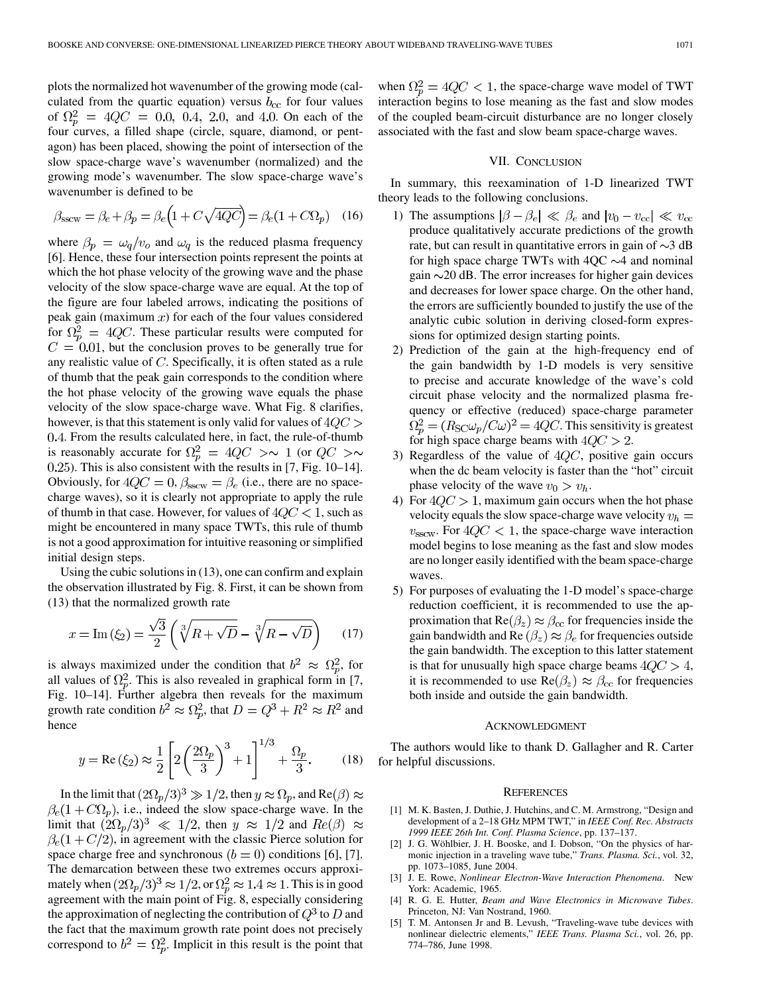<span id="page-5-0"></span>plots the normalized hot wavenumber of the growing mode (calculated from the quartic equation) versus  $b_{\rm cc}$  for four values of  $\Omega_p^2 = 4QC = 0.0, 0.4, 2.0,$  and 4.0. On each of the four curves, a filled shape (circle, square, diamond, or pentagon) has been placed, showing the point of intersection of the slow space-charge wave's wavenumber (normalized) and the growing mode's wavenumber. The slow space-charge wave's wavenumber is defined to be

$$
\beta_{\text{sscw}} = \beta_e + \beta_p = \beta_e \left( 1 + C \sqrt{4QC} \right) = \beta_e (1 + C\Omega_p) \quad (16)
$$

where  $\beta_p = \omega_q/v_o$  and  $\omega_q$  is the reduced plasma frequency [\[6](#page-6-0)]. Hence, these four intersection points represent the points at which the hot phase velocity of the growing wave and the phase velocity of the slow space-charge wave are equal. At the top of the figure are four labeled arrows, indicating the positions of peak gain (maximum  $x$ ) for each of the four values considered for  $\Omega_n^2 = 4QC$ . These particular results were computed for  $C = 0.01$ , but the conclusion proves to be generally true for any realistic value of  $C$ . Specifically, it is often stated as a rule of thumb that the peak gain corresponds to the condition where the hot phase velocity of the growing wave equals the phase velocity of the slow space-charge wave. What Fig. 8 clarifies, however, is that this statement is only valid for values of  $4QC >$ . From the results calculated here, in fact, the rule-of-thumb is reasonably accurate for  $\Omega_p^2 = 4QC > \sim 1$  (or  $QC > \sim$ ). This is also consistent with the results in [\[7](#page-6-0), Fig. 10–14]. Obviously, for  $4QC = 0$ ,  $\beta_{\text{sscw}} = \beta_e$  (i.e., there are no spacecharge waves), so it is clearly not appropriate to apply the rule of thumb in that case. However, for values of  $4QC < 1$ , such as might be encountered in many space TWTs, this rule of thumb is not a good approximation for intuitive reasoning or simplified initial design steps.

Using the cubic solutions in (13), one can confirm and explain the observation illustrated by Fig. 8. First, it can be shown from (13) that the normalized growth rate

$$
x = \operatorname{Im} \left( \xi_2 \right) = \frac{\sqrt{3}}{2} \left( \sqrt[3]{R + \sqrt{D}} - \sqrt[3]{R - \sqrt{D}} \right) \tag{17}
$$

is always maximized under the condition that  $b^2 \approx \Omega_p^2$ , for all values of  $\Omega_p^2$ . This is also revealed in graphical form in [[7,](#page-6-0) Fig. 10–14]. Further algebra then reveals for the maximum growth rate condition  $b^2 \approx \Omega_p^2$ , that  $D = Q^3 + R^2 \approx R^2$  and hence

$$
y = \text{Re}(\xi_2) \approx \frac{1}{2} \left[ 2 \left( \frac{2\Omega_p}{3} \right)^3 + 1 \right]^{1/3} + \frac{\Omega_p}{3}. \tag{18}
$$

In the limit that  $(2\Omega_p/3)^3 \gg 1/2$ , then  $y \approx \Omega_p$ , and Re( $\beta$ )  $\approx$  $\beta_e(1+C\Omega_p)$ , i.e., indeed the slow space-charge wave. In the limit that  $(2\Omega_p/3)^3 \ll 1/2$ , then  $y \approx 1/2$  and  $Re(\beta) \approx$  $\beta_e(1+C/2)$ , in agreement with the classic Pierce solution for space charge free and synchronous ( $b = 0$ ) conditions [[6\]](#page-6-0), [\[7](#page-6-0)]. The demarcation between these two extremes occurs approximately when  $(2\Omega_p/3)^3 \approx 1/2$ , or  $\Omega_p^2 \approx 1.4 \approx 1$ . This is in good agreement with the main point of Fig. 8, especially considering the approximation of neglecting the contribution of  $Q^3$  to D and the fact that the maximum growth rate point does not precisely correspond to  $b^2 = \Omega_p^2$ . Implicit in this result is the point that

when  $\Omega_p^2 = 4QC < 1$ , the space-charge wave model of TWT interaction begins to lose meaning as the fast and slow modes of the coupled beam-circuit disturbance are no longer closely associated with the fast and slow beam space-charge waves.

## VII. CONCLUSION

In summary, this reexamination of 1-D linearized TWT theory leads to the following conclusions.

- 1) The assumptions  $|\beta \beta_e| \ll \beta_e$  and  $|v_0 v_{\rm cc}| \ll v_{\rm cc}$ produce qualitatively accurate predictions of the growth rate, but can result in quantitative errors in gain of  $\sim$ 3 dB for high space charge TWTs with  $4QC \sim 4$  and nominal gain  $\sim$  20 dB. The error increases for higher gain devices and decreases for lower space charge. On the other hand, the errors are sufficiently bounded to justify the use of the analytic cubic solution in deriving closed-form expressions for optimized design starting points.
- 2) Prediction of the gain at the high-frequency end of the gain bandwidth by 1-D models is very sensitive to precise and accurate knowledge of the wave's cold circuit phase velocity and the normalized plasma frequency or effective (reduced) space-charge parameter  $\Omega_p^2 = (R_{\rm SC} \omega_p / C \omega)^2 = 4 Q C$ . This sensitivity is greatest for high space charge beams with  $4QC > 2$ .
- 3) Regardless of the value of  $4QC$ , positive gain occurs when the dc beam velocity is faster than the "hot" circuit phase velocity of the wave  $v_0 > v_h$ .
- 4) For  $4QC > 1$ , maximum gain occurs when the hot phase velocity equals the slow space-charge wave velocity  $v_h =$  $v_{\text{sscw}}$ . For  $4QC < 1$ , the space-charge wave interaction model begins to lose meaning as the fast and slow modes are no longer easily identified with the beam space-charge waves.
- 5) For purposes of evaluating the 1-D model's space-charge reduction coefficient, it is recommended to use the approximation that  $\text{Re}(\beta_z) \approx \beta_{\text{cc}}$  for frequencies inside the gain bandwidth and Re  $(\beta_z) \approx \beta_e$  for frequencies outside the gain bandwidth. The exception to this latter statement is that for unusually high space charge beams  $4QC > 4$ , it is recommended to use  $\text{Re}(\beta_z) \approx \beta_{\text{cc}}$  for frequencies both inside and outside the gain bandwidth.

## ACKNOWLEDGMENT

The authors would like to thank D. Gallagher and R. Carter for helpful discussions.

## **REFERENCES**

- [1] M. K. Basten, J. Duthie, J. Hutchins, and C. M. Armstrong, "Design and development of a 2–18 GHz MPM TWT," in *IEEE Conf. Rec. Abstracts 1999 IEEE 26th Int. Conf. Plasma Science*, pp. 137–137.
- [2] J. G. Wöhlbier, J. H. Booske, and I. Dobson, "On the physics of harmonic injection in a traveling wave tube," *Trans. Plasma. Sci.*, vol. 32, pp. 1073–1085, June 2004.
- [3] J. E. Rowe, *Nonlinear Electron-Wave Interaction Phenomena*. New York: Academic, 1965.
- [4] R. G. E. Hutter, *Beam and Wave Electronics in Microwave Tubes*. Princeton, NJ: Van Nostrand, 1960.
- [5] T. M. Antonsen Jr and B. Levush, "Traveling-wave tube devices with nonlinear dielectric elements," *IEEE Trans. Plasma Sci.*, vol. 26, pp. 774–786, June 1998.